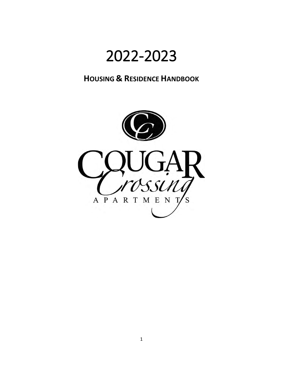# 2022-2023

### **HOUSING & RESIDENCE HANDBOOK**

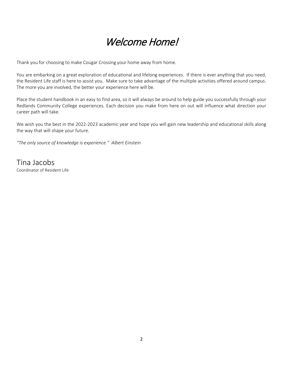## Welcome Home!

Thank you for choosing to make Cougar Crossing your home away from home.

You are embarking on a great exploration of educational and lifelong experiences. If there is ever anything that you need, the Resident Life staff is here to assist you. Make sure to take advantage of the multiple activities offered around campus. The more you are involved, the better your experience here will be.

Place the student handbook in an easy to find area, so it will always be around to help guide you successfully through your Redlands Community College experiences. Each decision you make from here on out will influence what direction your career path will take.

We wish you the best in the 2022-2023 academic year and hope you will gain new leadership and educational skills along the way that will shape your future.

*"The only source of knowledge is experience." Albert Einstein*

Tina Jacobs<br>Coordinator of Resident Life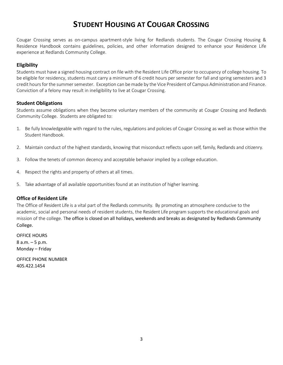### **STUDENT HOUSING AT COUGAR CROSSING**

Cougar Crossing serves as on-campus apartment-style living for Redlands students. The Cougar Crossing Housing & Residence Handbook contains guidelines, policies, and other information designed to enhance your Residence Life experience at Redlands Community College.

#### **Eligibility**

Students must have a signed housing contract on file with the Resident Life Office prior to occupancy of college housing. To be eligible for residency, students must carry a minimum of 6 credit hours per semester for fall and spring semesters and 3 credit hours for the summer semester. Exception can be made by the Vice President of Campus Administration and Finance. Conviction of a felony may result in ineligibility to live at Cougar Crossing.

#### **Student Obligations**

Students assume obligations when they become voluntary members of the community at Cougar Crossing and Redlands Community College. Students are obligated to:

- 1. Be fully knowledgeable with regard to the rules, regulations and policies of Cougar Crossing as well as those within the Student Handbook.
- 2. Maintain conduct of the highest standards, knowing that misconduct reflects upon self, family, Redlands and citizenry.
- 3. Follow the tenets of common decency and acceptable behavior implied by a college education.
- 4. Respect the rights and property of others at all times.
- 5. Take advantage of all available opportunities found at an institution of higher learning.

#### **Office of Resident Life**

The Office of Resident Life is a vital part of the Redlands community. By promoting an atmosphere conducive to the academic, social and personal needs of resident students, the Resident Life program supports the educational goals and mission of the college. The office is closed on all holidays, weekends and breaks as designated by Redlands Community College.

OFFICE HOURS 8 a.m. – 5 p.m. Monday – Friday

OFFICE PHONE NUMBER 405.422.1454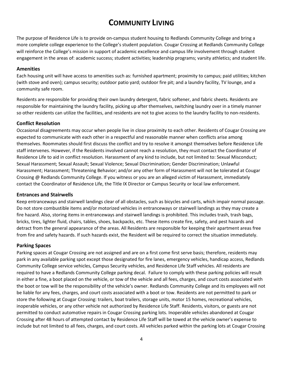### **COMMUNITY LIVING**

The purpose of Residence Life is to provide on-campus student housing to Redlands Community College and bring a more complete college experience to the College's student population. Cougar Crossing at Redlands Community College will reinforce the College's mission in support of academic excellence and campus life involvement through student engagement in the areas of: academic success; student activities; leadership programs; varsity athletics; and student life.

#### **Amenities**

Each housing unit will have access to amenities such as: furnished apartment; proximity to campus; paid utilities; kitchen (with stove and oven); campus security; outdoor patio yard; outdoor fire pit; and a laundry facility, TV lounge, and a community safe room.

Residents are responsible for providing their own laundry detergent, fabric softener, and fabric sheets. Residents are responsible for maintaining the laundry facility, picking up after themselves, switching laundry over in a timely manner so other residents can utilize the facilities, and residents are not to give access to the laundry facility to non-residents.

#### **Conflict Resolution**

Occasional disagreements may occur when people live in close proximity to each other. Residents of Cougar Crossing are expected to communicate with each other in a respectful and reasonable manner when conflicts arise among themselves. Roommates should first discuss the conflict and try to resolve it amongst themselves before Residence Life staff intervenes. However, if the Residents involved cannot reach a resolution, they must contact the Coordinator of Residence Life to aid in conflict resolution. Harassment of any kind to include, but not limited to: Sexual Misconduct; Sexual Harassment; Sexual Assault; Sexual Violence; Sexual Discrimination; Gender Discrimination; Unlawful Harassment; Harassment; Threatening Behavior; and/or any other form of Harassment will not be tolerated at Cougar Crossing @ Redlands Community College. If you witness or you are an alleged victim of Harassment, immediately contact the Coordinator of Residence Life, the Title IX Director or Campus Security or local law enforcement.

#### **Entrances and Stairwells**

Keep entranceways and stairwell landings clear of all obstacles, such as bicycles and carts, which impair normal passage. Do not store combustible items and/or motorized vehicles in entranceways or stairwell landings as they may create a fire hazard. Also, storing items in entranceways and stairwell landings is prohibited. This includes trash, trash bags, bricks, tires, lighter fluid, chairs, tables, shoes, backpacks, etc. These items create fire, safety, and pest hazards and detract from the general appearance of the areas. All Residents are responsible for keeping their apartment areas free from fire and safety hazards. If such hazards exist, the Resident will be required to correct the situation immediately.

#### **Parking Spaces**

Parking spaces at Cougar Crossing are not assigned and are on a first come first serve basis; therefore, residents may park in any available parking spot except those designated for fire lanes, emergency vehicles, handicap access, Redlands Community College service vehicles, Campus Security vehicles, and Residence Life Staff vehicles. All residents are required to have a Redlands Community College parking decal. Failure to comply with these parking policies will result in either a fine, a boot placed on the vehicle, or tow of the vehicle and all fees, charges, and court costs associated with the boot or tow will be the responsibility of the vehicle's owner. Redlands Community College and its employees will not be liable for any fees, charges, and court costs associated with a boot or tow. Residents are not permitted to park or store the following at Cougar Crossing: trailers, boat trailers, storage units, motor 15 homes, recreational vehicles, inoperable vehicles, or any other vehicle not authorized by Residence Life Staff. Residents, visitors, or guests are not permitted to conduct automotive repairs in Cougar Crossing parking lots. Inoperable vehicles abandoned at Cougar Crossing after 48 hours of attempted contact by Residence Life Staff will be towed at the vehicle owner's expense to include but not limited to all fees, charges, and court costs. All vehicles parked within the parking lots at Cougar Crossing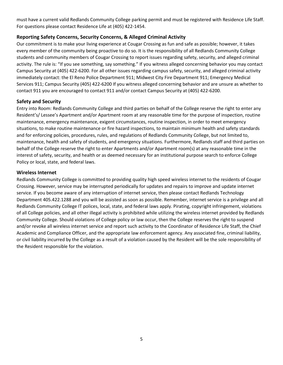must have a current valid Redlands Community College parking permit and must be registered with Residence Life Staff. For questions please contact Residence Life at (405) 422-1454.

#### **Reporting Safety Concerns, Security Concerns, & Alleged Criminal Activity**

Our commitment is to make your living experience at Cougar Crossing as fun and safe as possible; however, it takes every member of the community being proactive to do so. It is the responsibility of all Redlands Community College students and community members of Cougar Crossing to report issues regarding safety, security, and alleged criminal activity. The rule is: "If you see something, say something." If you witness alleged concerning behavior you may contact Campus Security at (405) 422-6200. For all other issues regarding campus safety, security, and alleged criminal activity immediately contact: the El Reno Police Department 911; Midwest City Fire Department 911; Emergency Medical Services 911; Campus Security (405) 422-6200 If you witness alleged concerning behavior and are unsure as whether to contact 911 you are encouraged to contact 911 and/or contact Campus Security at (405) 422-6200.

#### **Safety and Security**

Entry into Room: Redlands Community College and third parties on behalf of the College reserve the right to enter any Resident's/ Lessee's Apartment and/or Apartment room at any reasonable time for the purpose of inspection, routine maintenance, emergency maintenance, exigent circumstances, routine inspection, in order to meet emergency situations, to make routine maintenance or fire hazard inspections, to maintain minimum health and safety standards and for enforcing policies, procedures, rules, and regulations of Redlands Community College, but not limited to, maintenance, health and safety of students, and emergency situations. Furthermore, Redlands staff and third parties on behalf of the College reserve the right to enter Apartments and/or Apartment room(s) at any reasonable time in the interest of safety, security, and health or as deemed necessary for an institutional purpose search to enforce College Policy or local, state, and federal laws.

#### **Wireless Internet**

Redlands Community College is committed to providing quality high speed wireless internet to the residents of Cougar Crossing. However, service may be interrupted periodically for updates and repairs to improve and update internet service. If you become aware of any interruption of internet service, then please contact Redlands Technology Department 405.422.1288 and you will be assisted as soon as possible. Remember, internet service is a privilege and all Redlands Community College IT polices, local, state, and federal laws apply. Pirating, copyright infringement, violations of all College policies, and all other illegal activity is prohibited while utilizing the wireless internet provided by Redlands Community College. Should violations of College policy or law occur, then the College reserves the right to suspend and/or revoke all wireless internet service and report such activity to the Coordinator of Residence Life Staff, the Chief Academic and Compliance Officer, and the appropriate law enforcement agency. Any associated fine, criminal liability, or civil liability incurred by the College as a result of a violation caused by the Resident will be the sole responsibility of the Resident responsible for the violation.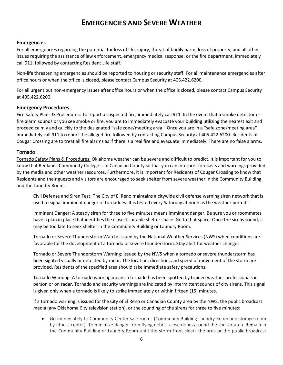### **EMERGENCIES AND SEVERE WEATHER**

#### **Emergencies**

For all emergencies regarding the potential for loss of life, injury, threat of bodily harm, loss of property, and all other issues requiring the assistance of law enforcement, emergency medical response, or the fire department, immediately call 911, followed by contacting Resident Life staff.

Non-life threatening emergencies should be reported to housing or security staff. For all maintenance emergencies after office hours or when the office is closed, please contact Campus Security at 405.422.6200.

For all urgent but non-emergency issues after office hours or when the office is closed, please contact Campus Security at 405.422.6200.

#### **Emergency Procedures**

Fire Safety Plans & Procedures: To report a suspected fire, immediately call 911. In the event that a smoke detector or fire alarm sounds or you see smoke or fire, you are to immediately evacuate your building utilizing the nearest exit and proceed calmly and quickly to the designated "safe zone/meeting area." Once you are in a "safe zone/meeting area" immediately call 911 to report the alleged fire followed by contacting Campus Security at 405.422.6200. Residents of Cougar Crossing are to treat all fire alarms as if there is a real fire and evacuate immediately. There are no false alarms.

#### Tornado

Tornado Safety Plans & Procedures: Oklahoma weather can be severe and difficult to predict. It is important for you to know that Redlands Community College is in Canadian County so that you can interpret forecasts and warnings provided by the media and other weather resources. Furthermore, it is important for Residents of Cougar Crossing to know that Residents and their guests and visitors are encouraged to seek shelter from severe weather in the Community Building and the Laundry Room.

Civil Defense and Siren Test: The City of El Reno maintains a citywide civil defense warning siren network that is used to signal imminent danger of tornadoes. It is tested every Saturday at noon as the weather permits.

Imminent Danger: A steady siren for three to five minutes means imminent danger. Be sure you or roommates have a plan in place that identifies the closest suitable shelter space. Go to that space. Once the sirens sound, it may be too late to seek shelter in the Community Building or Laundry Room.

Tornado or Severe Thunderstorm Watch: Issued by the National Weather Services (NWS) when conditions are favorable for the development of a tornado or severe thunderstorm. Stay alert for weather changes.

Tornado or Severe Thunderstorm Warning: Issued by the NWS when a tornado or severe thunderstorm has been sighted visually or detected by radar. The location, direction, and speed of movement of the storm are provided. Residents of the specified area should take immediate safety precautions.

Tornado Warning: A tornado warning means a tornado has been spotted by trained weather professionals in person or on radar. Tornado and security warnings are indicated by intermittent sounds of city sirens. This signal is given only when a tornado is likely to strike immediately or within fifteen (15) minutes.

If a tornado warning is issued for the City of El Reno or Canadian County area by the NWS, the public broadcast media (any Oklahoma City television station), or the sounding of the sirens for three to five minutes:

• Go immediately to Community Center safe rooms (Community Building Laundry Room and storage room by fitness center). To minimize danger from flying debris, close doors around the shelter area. Remain in the Community Building or Laundry Room until the storm front clears the area or the public broadcast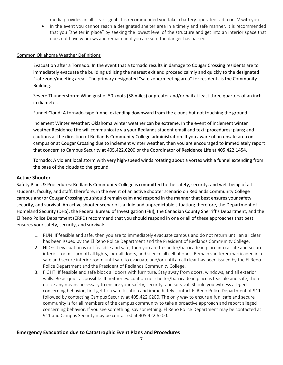media provides an all clear signal. It is recommended you take a battery-operated radio or TV with you.

• In the event you cannot reach a designated shelter area in a timely and safe manner, it is recommended that you "shelter in place" by seeking the lowest level of the structure and get into an interior space that does not have windows and remain until you are sure the danger has passed.

#### Common Oklahoma Weather Definitions

Evacuation after a Tornado: In the event that a tornado results in damage to Cougar Crossing residents are to immediately evacuate the building utilizing the nearest exit and proceed calmly and quickly to the designated "safe zone/meeting area." The primary designated "safe zone/meeting area" for residents is the Community Building.

Severe Thunderstorm: Wind gust of 50 knots (58 miles) or greater and/or hail at least three quarters of an inch in diameter.

Funnel Cloud: A tornado-type funnel extending downward from the clouds but not touching the ground.

Inclement Winter Weather: Oklahoma winter weather can be extreme. In the event of inclement winter weather Residence Life will communicate via your Redlands student email and text: procedures; plans; and cautions at the direction of Redlands Community College administration. If you aware of an unsafe area on campus or at Cougar Crossing due to inclement winter weather, then you are encouraged to immediately report that concern to Campus Security at 405.422.6200 or the Coordinator of Residence Life at 405.422.1454.

Tornado: A violent local storm with very high-speed winds rotating about a vortex with a funnel extending from the base of the clouds to the ground.

#### **Active Shooter**

Safety Plans & Procedures: Redlands Community College is committed to the safety, security, and well-being of all students, faculty, and staff; therefore, in the event of an active shooter scenario on Redlands Community College campus and/or Cougar Crossing you should remain calm and respond in the manner that best ensures your safety, security, and survival. An active shooter scenario is a fluid and unpredictable situation; therefore, the Department of Homeland Security (DHS), the Federal Bureau of Investigation (FBI), the Canadian County Sherriff's Department, and the El Reno Police Department (ERPD) recommend that you should respond in one or all of these approaches that best ensures your safety, security, and survival:

- 1. RUN: If feasible and safe, then you are to immediately evacuate campus and do not return until an all clear has been issued by the El Reno Police Department and the President of Redlands Community College.
- 2. HIDE: If evacuation is not feasible and safe, then you are to shelter/barricade in place into a safe and secure interior room. Turn off all lights, lock all doors, and silence all cell phones. Remain sheltered/barricaded in a safe and secure interior room until safe to evacuate and/or until an all clear has been issued by the El Reno Police Department and the President of Redlands Community College.
- 3. FIGHT: If feasible and safe block all doors with furniture. Stay away from doors, windows, and all exterior walls. Be as quiet as possible. If neither evacuation nor shelter/barricade in place is feasible and safe, then utilize any means necessary to ensure your safety, security, and survival. Should you witness alleged concerning behavior, first get to a safe location and immediately contact El Reno Police Department at 911 followed by contacting Campus Security at 405.422.6200. The only way to ensure a fun, safe and secure community is for all members of the campus community to take a proactive approach and report alleged concerning behavior. If you see something, say something. El Reno Police Department may be contacted at 911 and Campus Security may be contacted at 405.422.6200.

#### **Emergency Evacuation due to Catastrophic Event Plans and Procedures**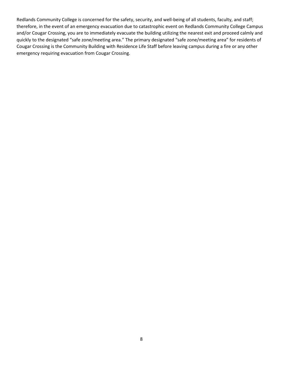Redlands Community College is concerned for the safety, security, and well-being of all students, faculty, and staff; therefore, in the event of an emergency evacuation due to catastrophic event on Redlands Community College Campus and/or Cougar Crossing, you are to immediately evacuate the building utilizing the nearest exit and proceed calmly and quickly to the designated "safe zone/meeting area." The primary designated "safe zone/meeting area" for residents of Cougar Crossing is the Community Building with Residence Life Staff before leaving campus during a fire or any other emergency requiring evacuation from Cougar Crossing.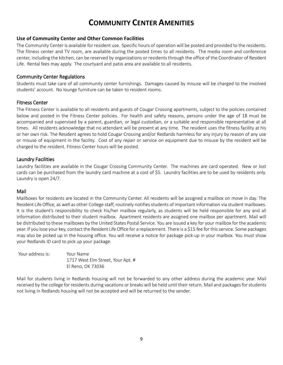### **COMMUNITY CENTER AMENITIES**

#### **Use of Community Center and Other Common Facilities**

The Community Center is available for resident use. Specific hours of operation will be posted and provided to the residents. The fitness center and TV room, are available during the posted times to all residents. The media room and conference center, including the kitchen, can be reserved by organizations or residents through the office of the Coordinator of Resident Life. Rental fees may apply. The courtyard and patio area are available to all residents.

#### Community Center Regulations

Students must take care of all community center furnishings. Damages caused by misuse will be charged to the involved students' account. No lounge furniture can be taken to resident rooms.

#### Fitness Center

The Fitness Center is available to all residents and guests of Cougar Crossing apartments, subject to the policies contained below and posted in the Fitness Center policies. For health and safety reasons, persons under the age of 18 must be accompanied and supervised by a parent, guardian, or legal custodian, or a suitable and responsible representative at all times. All residents acknowledge that no attendant will be present at any time. The resident uses the fitness facility at his or her own risk. The Resident agrees to hold Cougar Crossing and/or Redlands harmless for any injury by reason of any use or misuse of equipment in the facility. Cost of any repair or service on equipment due to misuse by the resident will be charged to the resident. Fitness Center hours will be posted.

#### Laundry Facilities

Laundry facilities are available in the Cougar Crossing Community Center. The machines are card operated. New or lost cards can be purchased from the laundry card machine at a cost of \$5. Laundry facilities are to be used by residents only. Laundry is open 24/7.

#### Mail

Mailboxes for residents are located in the Community Center. All residents will be assigned a mailbox on move in day. The Resident Life Office, as well as other College staff, routinely notifies students of important information via student mailboxes. It is the student's responsibility to check his/her mailbox regularly, as students will be held responsible for any and all information distributed to their student mailbox. Apartment residents are assigned one mailbox per apartment. Mail will be distributed to these mailboxes by the United States Postal Service. You are issued a key for your mailbox for the academic year. If you lose your key, contact the Resident Life Office for a replacement. There is a \$15 fee for this service. Some packages may also be picked up in the housing office. You will receive a notice for package pick-up in your mailbox. You must show your Redlands ID card to pick up your package.

| Your address is: | Your Name                         |
|------------------|-----------------------------------|
|                  | 1717 West Elm Street, Your Apt. # |
|                  | El Reno, OK 73036                 |

Mail for students living in Redlands housing will not be forwarded to any other address during the academic year. Mail received by the college for residents during vacations or breaks will be held until their return. Mail and packages for students not living in Redlands housing will not be accepted and will be returned to the sender.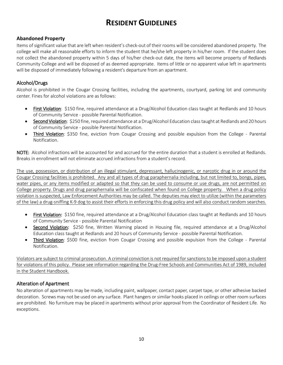### **RESIDENT GUIDELINES**

#### **Abandoned Property**

Items of significant value that are left when resident's check-out of their rooms will be considered abandoned property. The college will make all reasonable efforts to inform the student that he/she left property in his/her room. If the student does not collect the abandoned property within 5 days of his/her check-out date, the items will become property of Redlands Community College and will be disposed of as deemed appropriate. Items of little or no apparent value left in apartments will be disposed of immediately following a resident's departure from an apartment.

#### Alcohol/Drugs

Alcohol is prohibited in the Cougar Crossing facilities, including the apartments, courtyard, parking lot and community center. Fines for alcohol violations are as follows:

- First Violation: \$150 fine, required attendance at a Drug/Alcohol Education class taught at Redlands and 10 hours of Community Service - possible Parental Notification.
- Second Violation: \$250 fine, required attendance at a Drug/Alcohol Education class taught at Redlands and 20 hours of Community Service - possible Parental Notification.
- Third Violation: \$350 fine, eviction from Cougar Crossing and possible expulsion from the College Parental Notification.

NOTE: Alcohol infractions will be accounted for and accrued for the entire duration that a student is enrolled at Redlands. Breaks in enrollment will not eliminate accrued infractions from a student's record.

The use, possession, or distribution of an illegal stimulant, depressant, hallucinogenic, or narcotic drug in or around the Cougar Crossing facilities is prohibited. Any and all types of drug paraphernalia including, but not limited to, bongs, pipes, water pipes, or any items modified or adapted so that they can be used to consume or use drugs, are not permitted on College property. Drugs and drug paraphernalia will be confiscated when found on College property. When a drug policy violation is suspected, Law Enforcement Authorities may be called. The deputies may elect to utilize (within the parameters of the law) a drug-sniffing K-9 dog to assist their efforts in enforcing this drug policy and will also conduct random searches.

- First Violation: \$150 fine, required attendance at a Drug/Alcohol Education class taught at Redlands and 10 hours of Community Service - possible Parental Notification
- Second Violation: \$250 fine, Written Warning placed in Housing file, required attendance at a Drug/Alcohol Education class taught at Redlands and 20 hours of Community Service - possible Parental Notification.
- Third Violation: \$500 fine, eviction from Cougar Crossing and possible expulsion from the College Parental Notification.

Violators are subject to criminal prosecution. A criminal conviction is not required for sanctions to be imposed upon a student for violations of this policy. Please see information regarding the Drug-Free Schools and Communities Act of 1989, included in the Student Handbook.

#### Alteration of Apartment

No alteration of apartments may be made, including paint, wallpaper, contact paper, carpet tape, or other adhesive backed decoration. Screws may not be used on any surface. Plant hangers or similar hooks placed in ceilings or other room surfaces are prohibited. No furniture may be placed in apartments without prior approval from the Coordinator of Resident Life. No exceptions.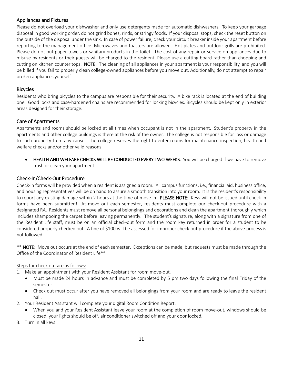#### Appliances and Fixtures

Please do not overload your dishwasher and only use detergents made for automatic dishwashers. To keep your garbage disposal in good working order, do not grind bones, rinds, or stringy foods. If your disposal stops, check the reset button on the outside of the disposal under the sink. In case of power failure, check your circuit breaker inside your apartment before reporting to the management office. Microwaves and toasters are allowed. Hot plates and outdoor grills are prohibited. Please do not put paper towels or sanitary products in the toilet. The cost of any repair or service on appliances due to misuse by residents or their guests will be charged to the resident. Please use a cutting board rather than chopping and cutting on kitchen counter tops. NOTE: The cleaning of all appliances in your apartment is your responsibility, and you will be billed if you fail to properly clean college-owned appliances before you move out. Additionally, do not attempt to repair broken appliances yourself.

#### Bicycles

Residents who bring bicycles to the campus are responsible for their security. A bike rack is located at the end of building one. Good locks and case-hardened chains are recommended for locking bicycles. Bicycles should be kept only in exterior areas designed for their storage.

#### Care of Apartments

Apartments and rooms should be locked at all times when occupant is not in the apartment. Student's property in the apartments and other college buildings is there at the risk of the owner. The college is not responsible for loss or damage to such property from any cause. The college reserves the right to enter rooms for maintenance inspection, health and welfare checks and/or other valid reasons.

• HEALTH AND WELFARE CHECKS WILL BE CONDUCTED EVERY TWO WEEKS. You will be charged if we have to remove trash or clean your apartment.

#### Check-In/Check-Out Procedure

Check-in forms will be provided when a resident is assigned a room. All campus functions, i.e., financial aid, business office, and housing representatives will be on hand to assure a smooth transition into your room. It is the resident's responsibility to report any existing damage within 2 hours at the time of move in. PLEASE NOTE: Keys will not be issued until check-in forms have been submitted! At move out each semester, residents must complete our check-out procedure with a designated RA. Residents must remove all personal belongings and decorations and clean the apartment thoroughly which includes shampooing the carpet before leaving permanently. The student's signature, along with a signature from one of the Resident Life staff, must be on an official check-out form and the room key returned in order for a student to be considered properly checked out. A fine of \$100 will be assessed for improper check-out procedure if the above process is not followed.

\*\* NOTE: Move out occurs at the end of each semester. Exceptions can be made, but requests must be made through the Office of the Coordinator of Resident Life\*\*

#### Steps for check out are as follows:

- 1. Make an appointment with your Resident Assistant for room move-out.
	- Must be made 24 hours in advance and must be completed by 5 pm two days following the final Friday of the semester.
	- Check out must occur after you have removed all belongings from your room and are ready to leave the resident hall.
- 2. Your Resident Assistant will complete your digital Room Condition Report.
	- When you and your Resident Assistant leave your room at the completion of room move-out, windows should be closed, your lights should be off, air conditioner switched off and your door locked.
- 3. Turn in all keys.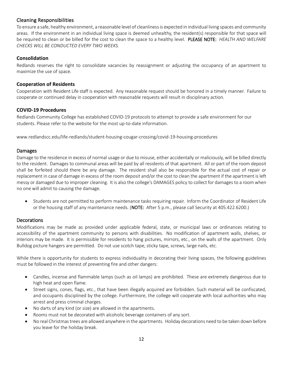#### Cleaning Responsibilities

To ensure a safe, healthy environment, a reasonable level of cleanliness is expected in individual living spaces and community areas. If the environment in an individual living space is deemed unhealthy, the resident(s) responsible for that space will be required to clean or be billed for the cost to clean the space to a healthy level. PLEASE NOTE: *HEALTH AND WELFARE CHECKS WILL BE CONDUCTED EVERY TWO WEEKS.*

#### **Consolidation**

Redlands reserves the right to consolidate vacancies by reassignment or adjusting the occupancy of an apartment to maximize the use of space.

#### **Cooperation of Residents**

Cooperation with Resident Life staff is expected. Any reasonable request should be honored in a timely manner. Failure to cooperate or continued delay in cooperation with reasonable requests will result in disciplinary action.

#### **COVID-19 Procedures**

Redlands Community College has established COVID-19 protocols to attempt to provide a safe environment for our students. Please refer to the website for the most up-to-date information.

www.redlandscc.edu/life-redlands/student-housing-cougar-crossing/covid-19-housing-procedures

#### Damages

Damage to the residence in excess of normal usage or due to misuse, either accidentally or maliciously, will be billed directly to the resident. Damages to communal areas will be paid by all residents of that apartment. All or part of the room deposit shall be forfeited should there be any damage. The resident shall also be responsible for the actual cost of repair or replacement in case of damage in excess of the room deposit and/or the cost to clean the apartment if the apartment is left messy or damaged due to improper cleaning. It is also the college's DAMAGES policy to collect for damages to a room when no one will admit to causing the damage.

• Students are not permitted to perform maintenance tasks requiring repair. Inform the Coordinator of Resident Life or the housing staff of any maintenance needs. (NOTE: After 5 p.m., please call Security at 405.422.6200.)

#### **Decorations**

Modifications may be made as provided under applicable federal, state, or municipal laws or ordinances relating to accessibility of the apartment community to persons with disabilities. No modification of apartment walls, shelves, or interiors may be made. It is permissible for residents to hang pictures, mirrors, etc., on the walls of the apartment. Only Bulldog picture hangers are permitted. Do not use scotch tape, sticky tape, screws, large nails, etc.

While there is opportunity for students to express individuality in decorating their living spaces, the following guidelines must be followed in the interest of preventing fire and other dangers:

- Candles, incense and flammable lamps (such as oil lamps) are prohibited. These are extremely dangerous due to high heat and open flame.
- Street signs, cones, flags, etc., that have been illegally acquired are forbidden. Such material will be confiscated, and occupants disciplined by the college. Furthermore, the college will cooperate with local authorities who may arrest and press criminal charges.
- No darts of any kind (or size) are allowed in the apartments.
- Rooms must not be decorated with alcoholic beverage containers of any sort.
- No real Christmas trees are allowed anywhere in the apartments. Holiday decorations need to be taken down before you leave for the holiday break.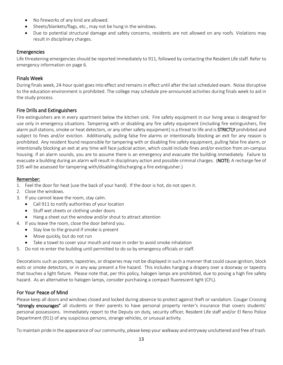- No fireworks of any kind are allowed.
- Sheets/blankets/flags, etc., may not be hung in the windows.
- Due to potential structural damage and safety concerns, residents are not allowed on any roofs. Violations may result in disciplinary charges.

#### Emergencies

Life threatening emergencies should be reported immediately to 911, followed by contacting the Resident Life staff. Refer to emergency information on page 6.

#### Finals Week

During finals week, 24-hour quiet goes into effect and remains in effect until after the last scheduled exam. Noise disruptive to the education environment is prohibited. The college may schedule pre-announced activities during finals week to aid in the study process.

#### Fire Drills and Extinguishers

Fire extinguishers are in every apartment below the kitchen sink. Fire safety equipment in our living areas is designed for use only in emergency situations. Tampering with or disabling any fire safety equipment (including fire extinguishers, fire alarm pull stations, smoke or heat detectors, or any other safety equipment) is a threat to life and is **STRICTLY** prohibited and subject to fines and/or eviction. Additionally, pulling false fire alarms or intentionally blocking an exit for any reason is prohibited. Any resident found responsible for tampering with or disabling fire safety equipment, pulling false fire alarm, or intentionally blocking an exit at any time will face judicial action, which could include fines and/or eviction from on-campus housing. If an alarm sounds, you are to assume there is an emergency and evacuate the building immediately. Failure to evacuate a building during an alarm will result in disciplinary action and possible criminal charges. (NOTE: A recharge fee of \$35 will be assessed for tampering with/disabling/discharging a fire extinguisher.)

#### Remember:

- 1. Feel the door for heat (use the back of your hand). If the door is hot, do not open it.
- 2. Close the windows.
- 3. If you cannot leave the room, stay calm.
	- Call 911 to notify authorities of your location
	- Stuff wet sheets or clothing under doors
	- Hang a sheet out the window and/or shout to attract attention
- 4. If you leave the room, close the door behind you.
	- Stay low to the ground if smoke is present
	- Move quickly, but do not run
	- Take a towel to cover your mouth and nose in order to avoid smoke inhalation
- 5. Do not re-enter the building until permitted to do so by emergency officials or staff.

Decorations such as posters, tapestries, or draperies may not be displayed in such a manner that could cause ignition, block exits or smoke detectors, or in any way present a fire hazard. This includes hanging a drapery over a doorway or tapestry that touches a light fixture. Please note that, per this policy, halogen lamps are prohibited, due to posing a high fire safety hazard. As an alternative to halogen lamps, consider purchasing a compact fluorescent light (CFL).

#### For Your Peace of Mind

Please keep all doors and windows closed and locked during absence to protect against theft or vandalism. Cougar Crossing "strongly encourages" all students or their parents to have personal property renter's insurance that covers students' personal possessions. Immediately report to the Deputy on duty, security officer, Resident Life staff and/or El Reno Police Department (911) of any suspicious persons, strange vehicles, or unusual activity.

To maintain pride in the appearance of our community, please keep your walkway and entryway uncluttered and free of trash.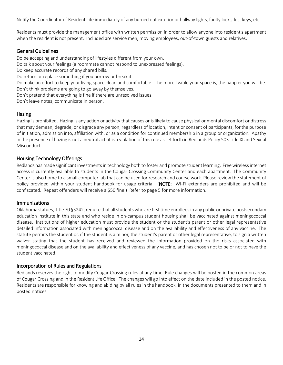Notify the Coordinator of Resident Life immediately of any burned out exterior or hallway lights, faulty locks, lost keys, etc.

Residents must provide the management office with written permission in order to allow anyone into resident's apartment when the resident is not present. Included are service men, moving employees, out-of-town guests and relatives.

#### General Guidelines

Do be accepting and understanding of lifestyles different from your own.

Do talk about your feelings (a roommate cannot respond to unexpressed feelings).

Do keep accurate records of any shared bills.

Do return or replace something if you borrow or break it.

Do make an effort to keep your living space clean and comfortable. The more livable your space is, the happier you will be. Don't think problems are going to go away by themselves.

Don't pretend that everything is fine if there are unresolved issues.

Don't leave notes; communicate in person.

#### Hazing

Hazing is prohibited. Hazing is any action or activity that causes or is likely to cause physical or mental discomfort or distress that may demean, degrade, or disgrace any person, regardless of location, intent or consent of participants, for the purpose of initiation, admission into, affiliation with, or as a condition for continued membership in a group or organization. Apathy in the presence of hazing is not a neutral act; it is a violation of this rule as set forth in Redlands Policy 503 Title IX and Sexual Misconduct.

#### Housing Technology Offerings

Redlands has made significant investments in technology both to foster and promote student learning. Free wireless internet access is currently available to students in the Cougar Crossing Community Center and each apartment. The Community Center is also home to a small computer lab that can be used for research and course work. Please review the statement of policy provided within your student handbook for usage criteria. (NOTE: WI-FI extenders are prohibited and will be confiscated. Repeat offenders will receive a \$50 fine.) Refer to page 5 for more information.

#### **Immunizations**

Oklahoma statues, Title 70 §3242, require that all students who are first time enrolleesin any public or private postsecondary education institute in this state and who reside in on-campus student housing shall be vaccinated against meningococcal disease. Institutions of higher education must provide the student or the student's parent or other legal representative detailed information associated with meningococcal disease and on the availability and effectiveness of any vaccine. The statute permits the student or, if the student is a minor, the student's parent or other legal representative, to sign a written waiver stating that the student has received and reviewed the information provided on the risks associated with meningococcal disease and on the availability and effectiveness of any vaccine, and has chosen not to be or not to have the student vaccinated.

#### Incorporation of Rules and Regulations

Redlands reserves the right to modify Cougar Crossing rules at any time. Rule changes will be posted in the common areas of Cougar Crossing and in the Resident Life Office. The changes will go into effect on the date included in the posted notice. Residents are responsible for knowing and abiding by all rules in the handbook, in the documents presented to them and in posted notices.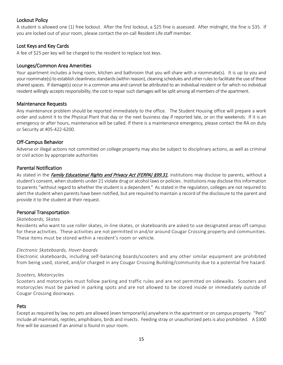#### Lockout Policy

A student is allowed one (1) free lockout. After the first lockout, a \$25 fine is assessed. After midnight, the fine is \$35. If you are locked out of your room, please contact the on-call Resident Life staff member.

#### Lost Keys and Key Cards

A fee of \$25 per key will be charged to the resident to replace lost keys.

#### Lounges/Common Area Amenities

Your apartment includes a living room, kitchen and bathroom that you will share with a roommate(s). It is up to you and your roommate(s) to establish cleanliness standards (within reason), cleaning schedules and other rules to facilitate the use of these shared spaces. If damage(s) occur in a common area and cannot be attributed to an individual resident or for which no individual resident willingly accepts responsibility, the cost to repair such damages will be split among all members of the apartment.

#### Maintenance Requests

Any maintenance problem should be reported immediately to the office. The Student Housing office will prepare a work order and submit it to the Physical Plant that day or the next business day if reported late, or on the weekends. If it is an emergency or after hours, maintenance will be called. If there is a maintenance emergency, please contact the RA on duty or Security at 405-422-6200.

#### Off-Campus Behavior

Adverse or illegal actions not committed on college property may also be subject to disciplinary actions, as well as criminal or civil action by appropriate authorities

#### Parental Notification

As stated in the Family Educational Rights and Privacy Act (FERPA) §99.31, institutions may disclose to parents, without a student's consent, when students under 21 violate drug or alcohol laws or policies. Institutions may disclose this information to parents "without regard to whether the student is a dependent." As stated in the regulation, colleges are not required to alert the student when parents have been notified, but are required to maintain a record of the disclosure to the parent and provide it to the student at their request.

#### Personal Transportation

#### *Skateboards, Skates*

Residents who want to use roller skates, in-line skates, or skateboards are asked to use designated areas off campus for these activities. These activities are not permitted in and/or around Cougar Crossing property and communities. These items must be stored within a resident's room or vehicle.

#### *Electronic Skateboards, Hover-boards*

Electronic skateboards, including self-balancing boards/scooters and any other similar equipment are prohibited from being used, stored, and/or charged in any Cougar Crossing Building/community due to a potential fire hazard.

#### *Scooters, Motorcycles*

Scooters and motorcycles must follow parking and traffic rules and are not permitted on sidewalks. Scooters and motorcycles must be parked in parking spots and are not allowed to be stored inside or immediately outside of Cougar Crossing doorways.

#### **Pets**

Except as required by law, no pets are allowed (even temporarily) anywhere in the apartment or on campus property. "Pets" include all mammals, reptiles, amphibians, birds and insects. Feeding stray or unauthorized pets is also prohibited. A \$300 fine will be assessed if an animal is found in your room.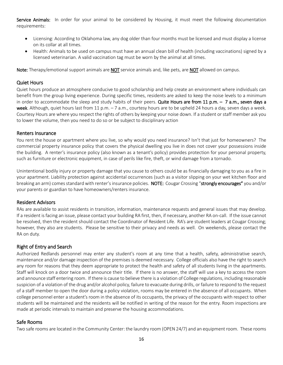Service Animals: In order for your animal to be considered by Housing, it must meet the following documentation requirements:

- Licensing: According to Oklahoma law, any dog older than four months must be licensed and must display a license on its collar at all times.
- Health: Animals to be used on campus must have an annual clean bill of health (including vaccinations) signed by a licensed veterinarian. A valid vaccination tag must be worn by the animal at all times.

Note: Therapy/emotional support animals are NOT service animals and, like pets, are NOT allowed on campus.

#### Quiet Hours

Quiet hours produce an atmosphere conducive to good scholarship and help create an environment where individuals can benefit from the group living experience. During specific times, residents are asked to keep the noise levels to a minimum in order to accommodate the sleep and study habits of their peers. Quite Hours are from 11 p.m.  $-7$  a.m., seven days a week. Although, quiet hours last from 11 p.m.  $-7$  a.m., courtesy hours are to be upheld 24 hours a day, seven days a week. Courtesy Hours are where you respect the rights of others by keeping your noise down. If a student or staff member ask you to lower the volume, then you need to do so or be subject to disciplinary action

#### Renters Insurance

You rent the house or apartment where you live, so why would you need insurance? Isn't that just for homeowners? The commercial property insurance policy that covers the physical dwelling you live in does not cover your possessions inside the building. A renter's insurance policy (also known as a tenant's policy) provides protection for your personal property, such as furniture or electronic equipment, in case of perils like fire, theft, or wind damage from a tornado.

Unintentional bodily injury or property damage that you cause to others could be as financially damaging to you as a fire in your apartment. Liability protection against accidental occurrences (such as a visitor slipping on your wet kitchen floor and breaking an arm) comes standard with renter's insurance policies. NOTE: Cougar Crossing "strongly encourages" you and/or your parents or guardian to have homeowners/renters insurance.

#### Resident Advisors

RAs are available to assist residents in transition, information, maintenance requests and general issues that may develop. If a resident is facing an issue, please contact your building RA first, then, if necessary, another RA on-call. If the issue cannot be resolved, then the resident should contact the Coordinator of Resident Life. RA's are student leaders at Cougar Crossing; however, they also are students. Please be sensitive to their privacy and needs as well. On weekends, please contact the RA on duty.

#### Right of Entry and Search

Authorized Redlands personnel may enter any student's room at any time that a health, safety, administrative search, maintenance and/or damage inspection of the premises is deemed necessary. College officials also have the right to search any room for reasons that they deem appropriate to protect the health and safety of all students living in the apartments. Staff will knock on a door twice and announce their title. If there is no answer, the staff will use a key to access the room and announce staff entering room. If there is cause to believe there is a violation of College regulations, including reasonable suspicion of a violation of the drug and/or alcohol policy, failure to evacuate during drills, or failure to respond to the request of a staff member to open the door during a policy violation, rooms may be entered in the absence of all occupants. When college personnel enter a student's room in the absence of its occupants, the privacy of the occupants with respect to other students will be maintained and the residents will be notified in writing of the reason for the entry. Room inspections are made at periodic intervals to maintain and preserve the housing accommodations.

#### Safe Rooms

Two safe rooms are located in the Community Center: the laundry room (OPEN 24/7) and an equipment room. These rooms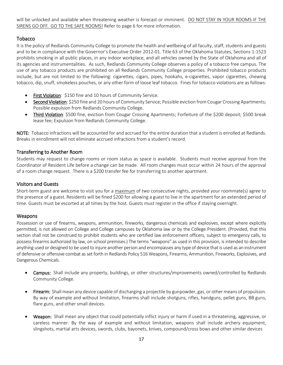will be unlocked and available when threatening weather is forecast or imminent. DO NOT STAY IN YOUR ROOMS IF THE SIRENS GO OFF. GO TO THE SAFE ROOMS! Refer to page 6 for more information.

#### Tobacco

It is the policy of Redlands Community College to promote the health and wellbeing of all faculty, staff, students and guests and to be in compliance with the Governor's Executive Order 2012-01. Title 63 of the Oklahoma Statutes, Sections 1-1523 prohibits smoking in all public places, in any indoor workplace, and all vehicles owned by the State of Oklahoma and all of its agencies and instrumentalities. As such, Redlands Community College observes a policy of a tobacco free campus. The use of any tobacco products are prohibited on all Redlands Community College properties. Prohibited tobacco products include, but are not limited to the following: cigarettes, cigars, pipes, hookahs, e-cigarettes, vapor cigarettes, chewing tobacco, dip, snuff, smokeless pouches, or any other form of loose leaf tobacco. Fines for tobacco violations are as follows:

- First Violation: \$150 fine and 10 hours of Community Service.
- Second Violation: \$250 fine and 20 hours of Community Service; Possible eviction from Cougar Crossing Apartments; Possible expulsion from Redlands Community College.
- Third Violation: \$500 fine, eviction from Cougar Crossing Apartments; Forfeiture of the \$200 deposit; \$500 break lease fee; Expulsion from Redlands Community College.

NOTE: Tobacco infractions will be accounted for and accrued for the entire duration that a student is enrolled at Redlands. Breaks in enrollment will not eliminate accrued infractions from a student's record.

#### Transferring to Another Room

Students may request to change rooms or room status as space is available. Students must receive approval from the Coordinator of Resident Life before a change can be made. All room changes must occur within 24 hours of the approval of a room change request. There is a \$200 transfer fee for transferring to another apartment.

#### Visitors and Guests

Short-term guest are welcome to visit you for a maximum of two consecutive nights, provided your roommate(s) agree to the presence of a guest. Residents will be fined \$200 for allowing a guest to live in the apartment for an extended period of time. Guests must be escorted at all times by the host. Guests must register in the office if staying overnight.

#### Weapons

Possession or use of firearms, weapons, ammunition, fireworks, dangerous chemicals and explosives, except where explicitly permitted, is not allowed on College and College campuses by Oklahoma law or by the College President. (Provided, that this section shall not be construed to prohibit students who are certified law enforcement officers, subject to emergency calls, to possess firearms authorized by law, on school premises.) The terms "weapons" as used in this provision, is intended to describe anything used or designed to be used to injure another person and encompasses any type of device that is used as an instrument of defensive or offensive combat as set forth in Redlands Policy 516 Weapons, Firearms, Ammunition, Fireworks, Explosives, and Dangerous Chemicals.

- Campus: Shall include any property, buildings, or other structures/improvements owned/controlled by Redlands Community College.
- Firearm: Shall mean any device capable of discharging a projectile by gunpowder, gas, or other means of propulsion. By way of example and without limitation, firearms shall include shotguns, rifles, handguns, pellet guns, BB guns, flare guns, and other small devices.
- Weapon: Shall mean any object that could potentially inflict injury or harm if used in a threatening, aggressive, or careless manner. By the way of example and without limitation, weapons shall include archery equipment, slingshots, martial arts devices, swords, clubs, bayonets, knives, compound/cross bows and other similar devices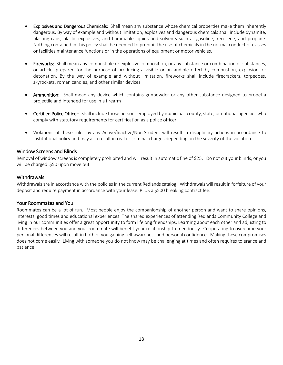- Explosives and Dangerous Chemicals: Shall mean any substance whose chemical properties make them inherently dangerous. By way of example and without limitation, explosives and dangerous chemicals shall include dynamite, blasting caps, plastic explosives, and flammable liquids and solvents such as gasoline, kerosene, and propane. Nothing contained in this policy shall be deemed to prohibit the use of chemicals in the normal conduct of classes or facilities maintenance functions or in the operations of equipment or motor vehicles.
- Fireworks: Shall mean any combustible or explosive composition, or any substance or combination or substances, or article, prepared for the purpose of producing a visible or an audible effect by combustion, explosion, or detonation. By the way of example and without limitation, fireworks shall include firecrackers, torpedoes, skyrockets, roman candles, and other similar devices.
- Ammunition: Shall mean any device which contains gunpowder or any other substance designed to propel a projectile and intended for use in a firearm
- Certified Police Officer: Shall include those persons employed by municipal, county, state, or national agencies who comply with statutory requirements for certification as a police officer.
- Violations of these rules by any Active/Inactive/Non-Student will result in disciplinary actions in accordance to institutional policy and may also result in civil or criminal charges depending on the severity of the violation.

#### Window Screens and Blinds

Removal of window screens is completely prohibited and will result in automatic fine of \$25. Do not cut your blinds, or you will be charged \$50 upon move out.

#### **Withdrawals**

Withdrawals are in accordance with the policies in the current Redlands catalog. Withdrawals will result in forfeiture of your deposit and require payment in accordance with your lease. PLUS a \$500 breaking contract fee.

#### Your Roommates and You

Roommates can be a lot of fun. Most people enjoy the companionship of another person and want to share opinions, interests, good times and educational experiences. The shared experiences of attending Redlands Community College and living in our communities offer a great opportunity to form lifelong friendships. Learning about each other and adjusting to differences between you and your roommate will benefit your relationship tremendously. Cooperating to overcome your personal differences will result in both of you gaining self-awareness and personal confidence. Making these compromises does not come easily. Living with someone you do not know may be challenging at times and often requires tolerance and patience.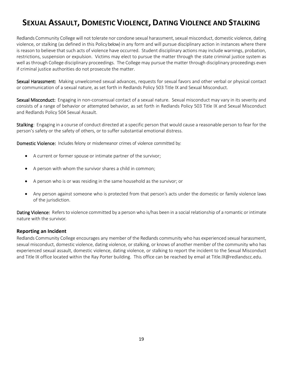### **SEXUAL ASSAULT, DOMESTIC VIOLENCE, DATING VIOLENCE AND STALKING**

Redlands Community College will not tolerate nor condone sexual harassment, sexual misconduct, domestic violence, dating violence, or stalking (as defined in this Policy below) in any form and will pursue disciplinary action in instances where there is reason to believe that such acts of violence have occurred. Student disciplinary actions may include warnings, probation, restrictions, suspension or expulsion. Victims may elect to pursue the matter through the state criminal justice system as well as through College disciplinary proceedings. The College may pursue the matter through disciplinary proceedings even if criminal justice authorities do not prosecute the matter.

Sexual Harassment: Making unwelcomed sexual advances, requests for sexual favors and other verbal or physical contact or communication of a sexual nature, as set forth in Redlands Policy 503 Title IX and Sexual Misconduct.

Sexual Misconduct: Engaging in non-consensual contact of a sexual nature. Sexual misconduct may vary in its severity and consists of a range of behavior or attempted behavior, as set forth in Redlands Policy 503 Title IX and Sexual Misconduct and Redlands Policy 504 Sexual Assault.

Stalking: Engaging in a course of conduct directed at a specific person that would cause a reasonable person to fear for the person's safety or the safety of others, or to suffer substantial emotional distress.

Domestic Violence: Includes felony or misdemeanor crimes of violence committed by:

- A current or former spouse or intimate partner of the survivor;
- A person with whom the survivor shares a child in common;
- A person who is or was residing in the same household as the survivor; or
- Any person against someone who is protected from that person's acts under the domestic or family violence laws of the jurisdiction.

Dating Violence: Refers to violence committed by a person who is/has been in a social relationship of a romantic or intimate nature with the survivor.

#### **Reporting an Incident**

Redlands Community College encourages any member of the Redlands community who has experienced sexual harassment, sexual misconduct, domestic violence, dating violence, or stalking, or knows of another member of the community who has experienced sexual assault, domestic violence, dating violence, or stalking to report the incident to the Sexual Misconduct and Title IX office located within the Ray Porter building. This office can be reached by email at Title.IX@redlandscc.edu.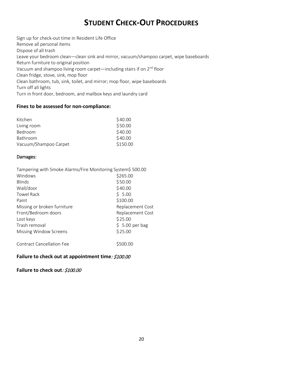### **STUDENT CHECK-OUT PROCEDURES**

Sign up for check-out time in Resident Life Office Remove all personal items Dispose of all trash Leave your bedroom clean—clean sink and mirror, vacuum/shampoo carpet, wipe baseboards Return furniture to original position Vacuum and shampoo living room carpet—including stairs if on 2<sup>nd</sup> floor Clean fridge, stove, sink, mop floor Clean bathroom, tub, sink, toilet, and mirror; mop floor, wipe baseboards Turn off all lights Turn in front door, bedroom, and mailbox keys and laundry card

#### **Fines to be assessed for non-compliance:**

| Kitchen               | \$40.00  |
|-----------------------|----------|
| Living room           | \$50.00  |
| Bedroom               | \$40.00  |
| Bathroom              | \$40.00  |
| Vacuum/Shampoo Carpet | \$150.00 |

#### Damages:

| Tampering with Smoke Alarms/Fire Monitoring System\$ 500.00 |                  |
|-------------------------------------------------------------|------------------|
| Windows                                                     | \$265.00         |
| <b>Blinds</b>                                               | \$50.00          |
| Wall/door                                                   | \$40.00          |
| <b>Towel Rack</b>                                           | \$5.00           |
| Paint                                                       | \$100.00         |
| Missing or broken furniture                                 | Replacement Cost |
| Front/Bedroom doors                                         | Replacement Cost |
| Lost keys                                                   | \$25.00          |
| Trash removal                                               | $$5.00$ per bag  |
| <b>Missing Window Screens</b>                               | \$25.00          |
| <b>Contract Cancellation Fee</b>                            |                  |

#### **Failure to check out at appointment time**: \$100.00

#### **Failure to check out**: \$100.00